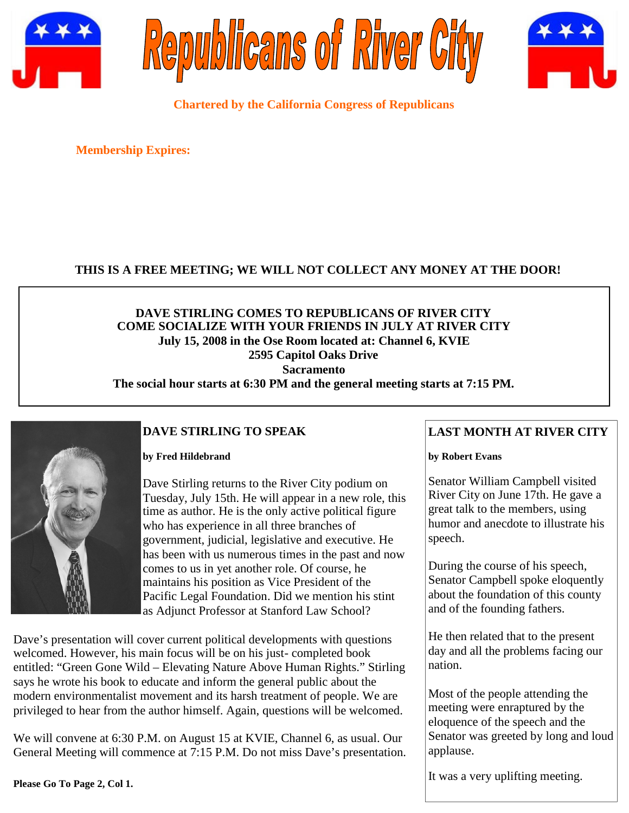





**Chartered by the California Congress of Republicans**

**Membership Expires:**

## **THIS IS A FREE MEETING; WE WILL NOT COLLECT ANY MONEY AT THE DOOR!**

## **DAVE STIRLING COMES TO REPUBLICANS OF RIVER CITY COME SOCIALIZE WITH YOUR FRIENDS IN JULY AT RIVER CITY July 15, 2008 in the Ose Room located at: Channel 6, KVIE 2595 Capitol Oaks Drive Sacramento The social hour starts at 6:30 PM and the general meeting starts at 7:15 PM.**



# **DAVE STIRLING TO SPEAK**

### **by Fred Hildebrand**

Dave Stirling returns to the River City podium on Tuesday, July 15th. He will appear in a new role, this time as author. He is the only active political figure who has experience in all three branches of government, judicial, legislative and executive. He has been with us numerous times in the past and now comes to us in yet another role. Of course, he maintains his position as Vice President of the Pacific Legal Foundation. Did we mention his stint as Adjunct Professor at Stanford Law School?

Dave's presentation will cover current political developments with questions welcomed. However, his main focus will be on his just- completed book entitled: "Green Gone Wild – Elevating Nature Above Human Rights." Stirling says he wrote his book to educate and inform the general public about the modern environmentalist movement and its harsh treatment of people. We are privileged to hear from the author himself. Again, questions will be welcomed.

We will convene at 6:30 P.M. on August 15 at KVIE, Channel 6, as usual. Our General Meeting will commence at 7:15 P.M. Do not miss Dave's presentation.

## **LAST MONTH AT RIVER CITY**

#### **by Robert Evans**

Senator William Campbell visited River City on June 17th. He gave a great talk to the members, using humor and anecdote to illustrate his speech.

During the course of his speech, Senator Campbell spoke eloquently about the foundation of this county and of the founding fathers.

He then related that to the present day and all the problems facing our nation.

Most of the people attending the meeting were enraptured by the eloquence of the speech and the Senator was greeted by long and loud applause.

It was a very uplifting meeting.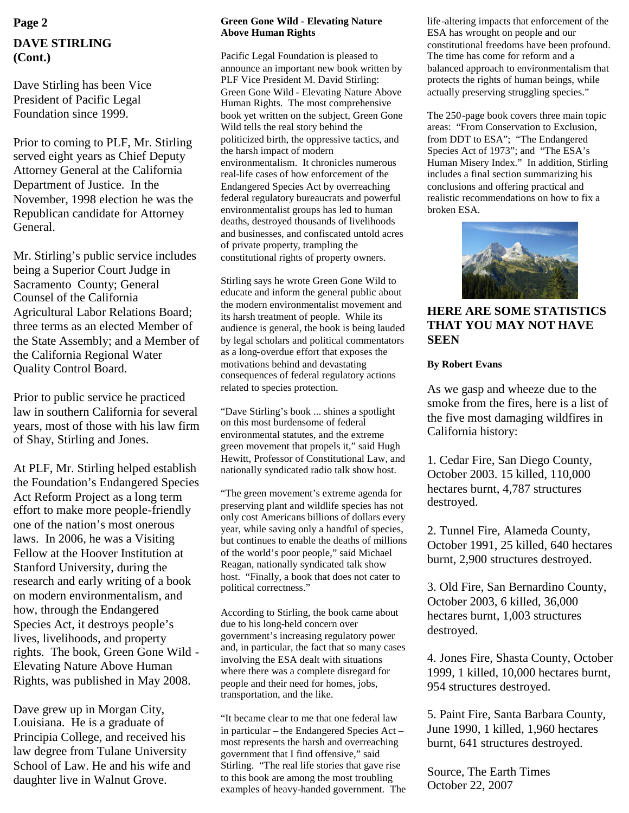# **DAVE STIRLING (Cont.)**

Dave Stirling has been Vice President of Pacific Legal Foundation since 1999.

Prior to coming to PLF, Mr. Stirling served eight years as Chief Deputy Attorney General at the California Department of Justice. In the November, 1998 election he was the Republican candidate for Attorney General.

Mr. Stirling's public service includes being a Superior Court Judge in Sacramento County; General Counsel of the California Agricultural Labor Relations Board; three terms as an elected Member of the State Assembly; and a Member of the California Regional Water Quality Control Board.

Prior to public service he practiced law in southern California for several years, most of those with his law firm of Shay, Stirling and Jones.

At PLF, Mr. Stirling helped establish the Foundation's Endangered Species Act Reform Project as a long term effort to make more people-friendly one of the nation's most onerous laws. In 2006, he was a Visiting Fellow at the Hoover Institution at Stanford University, during the research and early writing of a book on modern environmentalism, and how, through the Endangered Species Act, it destroys people's lives, livelihoods, and property rights. The book, Green Gone Wild - Elevating Nature Above Human Rights, was published in May 2008.

Dave grew up in Morgan City, Louisiana. He is a graduate of Principia College, and received his law degree from Tulane University School of Law. He and his wife and daughter live in Walnut Grove.

#### **Green Gone Wild - Elevating Nature Above Human Rights**

Pacific Legal Foundation is pleased to announce an important new book written by PLF Vice President M. David Stirling: Green Gone Wild - Elevating Nature Above Human Rights. The most comprehensive book yet written on the subject, Green Gone Wild tells the real story behind the politicized birth, the oppressive tactics, and the harsh impact of modern environmentalism. It chronicles numerous real-life cases of how enforcement of the Endangered Species Act by overreaching federal regulatory bureaucrats and powerful environmentalist groups has led to human deaths, destroyed thousands of livelihoods and businesses, and confiscated untold acres of private property, trampling the constitutional rights of property owners.

Stirling says he wrote Green Gone Wild to educate and inform the general public about the modern environmentalist movement and its harsh treatment of people. While its audience is general, the book is being lauded by legal scholars and political commentators as a long-overdue effort that exposes the motivations behind and devastating consequences of federal regulatory actions related to species protection.

"Dave Stirling's book ... shines a spotlight on this most burdensome of federal environmental statutes, and the extreme green movement that propels it," said Hugh Hewitt, Professor of Constitutional Law, and nationally syndicated radio talk show host.

"The green movement's extreme agenda for preserving plant and wildlife species has not only cost Americans billions of dollars every year, while saving only a handful of species, but continues to enable the deaths of millions of the world's poor people," said Michael Reagan, nationally syndicated talk show host. "Finally, a book that does not cater to political correctness."

According to Stirling, the book came about due to his long-held concern over government's increasing regulatory power and, in particular, the fact that so many cases involving the ESA dealt with situations where there was a complete disregard for people and their need for homes, jobs, transportation, and the like.

"It became clear to me that one federal law in particular – the Endangered Species Act – most represents the harsh and overreaching government that I find offensive," said Stirling. "The real life stories that gave rise to this book are among the most troubling examples of heavy-handed government. The

**Page 2 life-altering impacts that enforcement of the Green Gone Wild - Elevating Nature** life-altering impacts that enforcement of the ESA has wrought on people and our constitutional freedoms have been profound. The time has come for reform and a balanced approach to environmentalism that protects the rights of human beings, while actually preserving struggling species."

> The 250-page book covers three main topic areas: "From Conservation to Exclusion, from DDT to ESA"; "The Endangered Species Act of 1973"; and "The ESA's Human Misery Index." In addition, Stirling includes a final section summarizing his conclusions and offering practical and realistic recommendations on how to fix a broken ESA.



**HERE ARE SOME STATISTICS THAT YOU MAY NOT HAVE SEEN**

#### **By Robert Evans**

As we gasp and wheeze due to the smoke from the fires, here is a list of the five most damaging wildfires in California history:

1. Cedar Fire, San Diego County, October 2003. 15 killed, 110,000 hectares burnt, 4,787 structures destroyed.

2. Tunnel Fire, Alameda County, October 1991, 25 killed, 640 hectares burnt, 2,900 structures destroyed.

3. Old Fire, San Bernardino County, October 2003, 6 killed, 36,000 hectares burnt, 1,003 structures destroyed.

4. Jones Fire, Shasta County, October 1999, 1 killed, 10,000 hectares burnt, 954 structures destroyed.

5. Paint Fire, Santa Barbara County, June 1990, 1 killed, 1,960 hectares burnt, 641 structures destroyed.

Source, The Earth Times October 22, 2007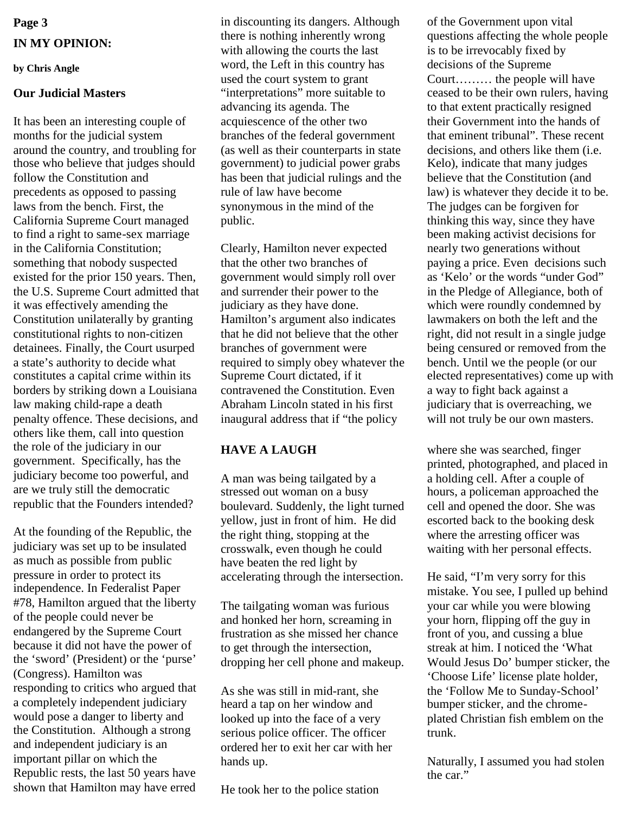# **Page 3 IN MY OPINION:**

### **by Chris Angle**

## **Our Judicial Masters**

It has been an interesting couple of months for the judicial system around the country, and troubling for those who believe that judges should follow the Constitution and precedents as opposed to passing laws from the bench. First, the California Supreme Court managed to find a right to same-sex marriage in the California Constitution; something that nobody suspected existed for the prior 150 years. Then, the U.S. Supreme Court admitted that it was effectively amending the Constitution unilaterally by granting constitutional rights to non-citizen detainees. Finally, the Court usurped a state's authority to decide what constitutes a capital crime within its borders by striking down a Louisiana law making child-rape a death penalty offence. These decisions, and others like them, call into question the role of the judiciary in our government. Specifically, has the judiciary become too powerful, and are we truly still the democratic republic that the Founders intended?

At the founding of the Republic, the judiciary was set up to be insulated as much as possible from public pressure in order to protect its independence. In Federalist Paper #78, Hamilton argued that the liberty of the people could never be endangered by the Supreme Court because it did not have the power of the 'sword' (President) or the 'purse' (Congress). Hamilton was responding to critics who argued that a completely independent judiciary would pose a danger to liberty and the Constitution. Although a strong and independent judiciary is an important pillar on which the Republic rests, the last 50 years have shown that Hamilton may have erred

in discounting its dangers. Although there is nothing inherently wrong with allowing the courts the last word, the Left in this country has used the court system to grant "interpretations" more suitable to advancing its agenda. The acquiescence of the other two branches of the federal government (as well as their counterparts in state government) to judicial power grabs has been that judicial rulings and the rule of law have become synonymous in the mind of the public.

Clearly, Hamilton never expected that the other two branches of government would simply roll over and surrender their power to the judiciary as they have done. Hamilton's argument also indicates that he did not believe that the other branches of government were required to simply obey whatever the Supreme Court dictated, if it contravened the Constitution. Even Abraham Lincoln stated in his first inaugural address that if "the policy

## **HAVE A LAUGH**

A man was being tailgated by a stressed out woman on a busy boulevard. Suddenly, the light turned yellow, just in front of him. He did the right thing, stopping at the crosswalk, even though he could have beaten the red light by accelerating through the intersection.

The tailgating woman was furious and honked her horn, screaming in frustration as she missed her chance to get through the intersection, dropping her cell phone and makeup.

As she was still in mid-rant, she heard a tap on her window and looked up into the face of a very serious police officer. The officer ordered her to exit her car with her hands up.

He took her to the police station

of the Government upon vital questions affecting the whole people is to be irrevocably fixed by decisions of the Supreme Court……… the people will have ceased to be their own rulers, having to that extent practically resigned their Government into the hands of that eminent tribunal". These recent decisions, and others like them (i.e. Kelo), indicate that many judges believe that the Constitution (and law) is whatever they decide it to be. The judges can be forgiven for thinking this way, since they have been making activist decisions for nearly two generations without paying a price. Even decisions such as 'Kelo' or the words "under God" in the Pledge of Allegiance, both of which were roundly condemned by lawmakers on both the left and the right, did not result in a single judge being censured or removed from the bench. Until we the people (or our elected representatives) come up with a way to fight back against a judiciary that is overreaching, we will not truly be our own masters.

where she was searched, finger printed, photographed, and placed in a holding cell. After a couple of hours, a policeman approached the cell and opened the door. She was escorted back to the booking desk where the arresting officer was waiting with her personal effects.

He said, "I'm very sorry for this mistake. You see, I pulled up behind your car while you were blowing your horn, flipping off the guy in front of you, and cussing a blue streak at him. I noticed the 'What Would Jesus Do' bumper sticker, the 'Choose Life' license plate holder, the 'Follow Me to Sunday-School' bumper sticker, and the chromeplated Christian fish emblem on the trunk.

Naturally, I assumed you had stolen the car."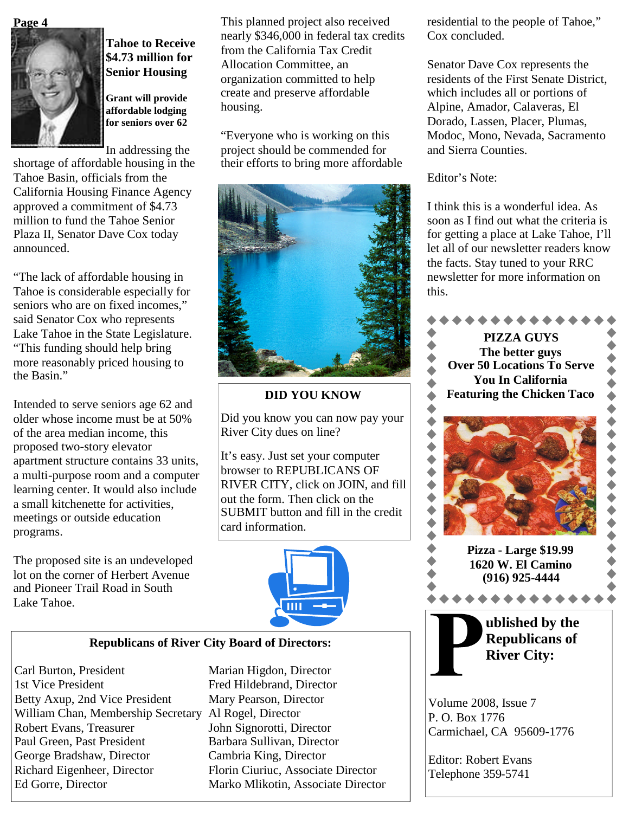#### **Page 4**



# **Tahoe to Receive \$4.73 million for Senior Housing**

**Grant will provide affordable lodging for seniors over 62**

In addressing the

shortage of affordable housing in the Tahoe Basin, officials from the California Housing Finance Agency approved a commitment of \$4.73 million to fund the Tahoe Senior Plaza II, Senator Dave Cox today announced.

"The lack of affordable housing in Tahoe is considerable especially for seniors who are on fixed incomes," said Senator Cox who represents Lake Tahoe in the State Legislature. "This funding should help bring more reasonably priced housing to the Basin."

Intended to serve seniors age 62 and older whose income must be at 50% of the area median income, this proposed two-story elevator apartment structure contains 33 units, a multi-purpose room and a computer learning center. It would also include a small kitchenette for activities, meetings or outside education programs.

The proposed site is an undeveloped lot on the corner of Herbert Avenue and Pioneer Trail Road in South Lake Tahoe.

This planned project also received nearly \$346,000 in federal tax credits from the California Tax Credit Allocation Committee, an organization committed to help create and preserve affordable housing.

"Everyone who is working on this project should be commended for their efforts to bring more affordable



## **DID YOU KNOW**

Did you know you can now pay your River City dues on line?

It's easy. Just set your computer browser to REPUBLICANS OF RIVER CITY, click on JOIN, and fill out the form. Then click on the SUBMIT button and fill in the credit card information.



## **Republicans of River City Board of Directors:**

Carl Burton, President Marian Higdon, Director 1st Vice President Fred Hildebrand, Director Betty Axup, 2nd Vice President Mary Pearson, Director William Chan, Membership Secretary Al Rogel, Director Robert Evans, Treasurer John Signorotti, Director Paul Green, Past President Barbara Sullivan, Director George Bradshaw, Director Cambria King, Director Richard Eigenheer, Director Florin Ciuriuc, Associate Director Ed Gorre, Director Marko Mlikotin, Associate Director

residential to the people of Tahoe," Cox concluded.

Senator Dave Cox represents the residents of the First Senate District, which includes all or portions of Alpine, Amador, Calaveras, El Dorado, Lassen, Placer, Plumas, Modoc, Mono, Nevada, Sacramento and Sierra Counties.

Editor's Note:

I think this is a wonderful idea. As soon as I find out what the criteria is for getting a place at Lake Tahoe, I'll let all of our newsletter readers know the facts. Stay tuned to your RRC newsletter for more information on this.



P. O. Box 1776 Carmichael, CA 95609-1776

Editor: Robert Evans Telephone 359-5741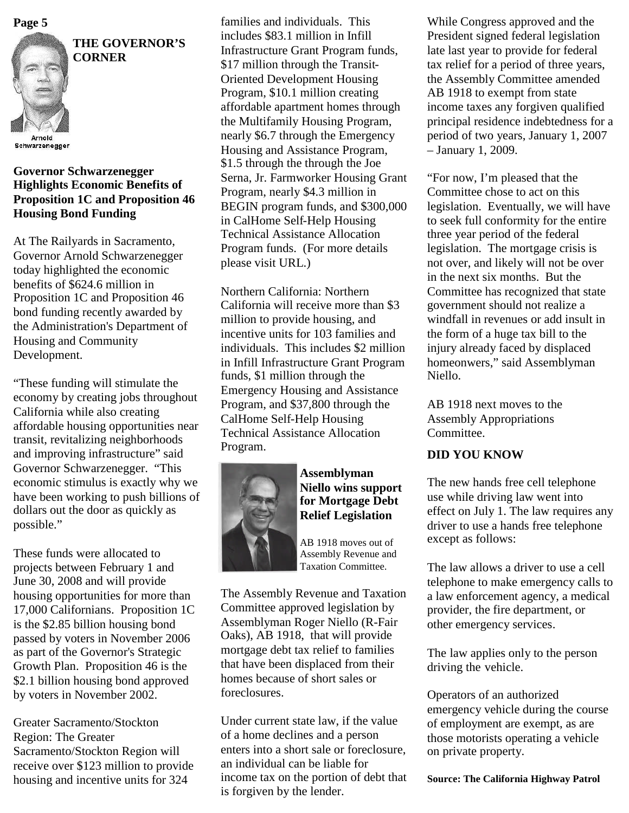

**THE GOVERNOR'S CORNER**

Schwarzenegger

## **Governor Schwarzenegger Highlights Economic Benefits of Proposition 1C and Proposition 46 Housing Bond Funding**

At The Railyards in Sacramento, Governor Arnold Schwarzenegger today highlighted the economic benefits of \$624.6 million in Proposition 1C and Proposition 46 bond funding recently awarded by the Administration's Department of Housing and Community Development.

"These funding will stimulate the economy by creating jobs throughout California while also creating affordable housing opportunities near transit, revitalizing neighborhoods and improving infrastructure" said Governor Schwarzenegger. "This economic stimulus is exactly why we have been working to push billions of dollars out the door as quickly as possible."

These funds were allocated to projects between February 1 and June 30, 2008 and will provide housing opportunities for more than 17,000 Californians. Proposition 1C is the \$2.85 billion housing bond passed by voters in November 2006 as part of the Governor's Strategic Growth Plan. Proposition 46 is the \$2.1 billion housing bond approved by voters in November 2002.

Greater Sacramento/Stockton Region: The Greater Sacramento/Stockton Region will receive over \$123 million to provide housing and incentive units for 324

families and individuals. This includes \$83.1 million in Infill Infrastructure Grant Program funds, \$17 million through the Transit-Oriented Development Housing Program, \$10.1 million creating affordable apartment homes through the Multifamily Housing Program, nearly \$6.7 through the Emergency Housing and Assistance Program, \$1.5 through the through the Joe Serna, Jr. Farmworker Housing Grant Program, nearly \$4.3 million in BEGIN program funds, and \$300,000 in CalHome Self-Help Housing Technical Assistance Allocation Program funds. (For more details please visit URL.) **Page 5** Families and individuals. This While Congress approved and the

> Northern California: Northern California will receive more than \$3 million to provide housing, and incentive units for 103 families and individuals. This includes \$2 million in Infill Infrastructure Grant Program funds, \$1 million through the Emergency Housing and Assistance Program, and \$37,800 through the CalHome Self-Help Housing Technical Assistance Allocation Program.



**Assemblyman Niello wins support for Mortgage Debt Relief Legislation**

AB 1918 moves out of Assembly Revenue and Taxation Committee.

The Assembly Revenue and Taxation Committee approved legislation by Assemblyman Roger Niello (R-Fair Oaks), AB 1918, that will provide mortgage debt tax relief to families that have been displaced from their homes because of short sales or foreclosures.

Under current state law, if the value of a home declines and a person enters into a short sale or foreclosure, an individual can be liable for income tax on the portion of debt that is forgiven by the lender.

President signed federal legislation late last year to provide for federal tax relief for a period of three years, the Assembly Committee amended AB 1918 to exempt from state income taxes any forgiven qualified principal residence indebtedness for a period of two years, January 1, 2007 – January 1, 2009.

"For now, I'm pleased that the Committee chose to act on this legislation. Eventually, we will have to seek full conformity for the entire three year period of the federal legislation. The mortgage crisis is not over, and likely will not be over in the next six months. But the Committee has recognized that state government should not realize a windfall in revenues or add insult in the form of a huge tax bill to the injury already faced by displaced homeonwers," said Assemblyman Niello.

AB 1918 next moves to the Assembly Appropriations Committee.

# **DID YOU KNOW**

The new hands free cell telephone use while driving law went into effect on July 1. The law requires any driver to use a hands free telephone except as follows:

The law allows a driver to use a cell telephone to make emergency calls to a law enforcement agency, a medical provider, the fire department, or other emergency services.

The law applies only to the person driving the vehicle.

Operators of an authorized emergency vehicle during the course of employment are exempt, as are those motorists operating a vehicle on private property.

**Source: The California Highway Patrol**